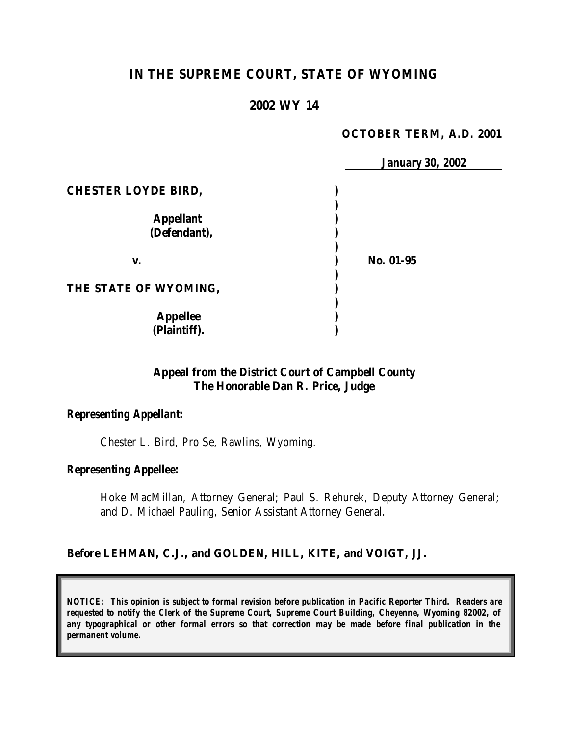# **IN THE SUPREME COURT, STATE OF WYOMING**

# **2002 WY 14**

#### **OCTOBER TERM, A.D. 2001**

*January 30, 2002*

|                            | January 30, |
|----------------------------|-------------|
| <b>CHESTER LOYDE BIRD,</b> |             |
|                            |             |
| <b>Appellant</b>           |             |
| (Defendant),               |             |
|                            |             |
| V.                         | No. 01-95   |
|                            |             |
| THE STATE OF WYOMING,      |             |
|                            |             |
| <b>Appellee</b>            |             |
| (Plaintiff).               |             |

### **Appeal from the District Court of Campbell County The Honorable Dan R. Price, Judge**

#### *Representing Appellant:*

Chester L. Bird, Pro Se, Rawlins, Wyoming.

#### *Representing Appellee:*

Hoke MacMillan, Attorney General; Paul S. Rehurek, Deputy Attorney General; and D. Michael Pauling, Senior Assistant Attorney General.

#### **Before LEHMAN, C.J., and GOLDEN, HILL, KITE, and VOIGT, JJ.**

*NOTICE: This opinion is subject to formal revision before publication in Pacific Reporter Third. Readers are requested to notify the Clerk of the Supreme Court, Supreme Court Building, Cheyenne, Wyoming 82002, of any typographical or other formal errors so that correction may be made before final publication in the permanent volume.*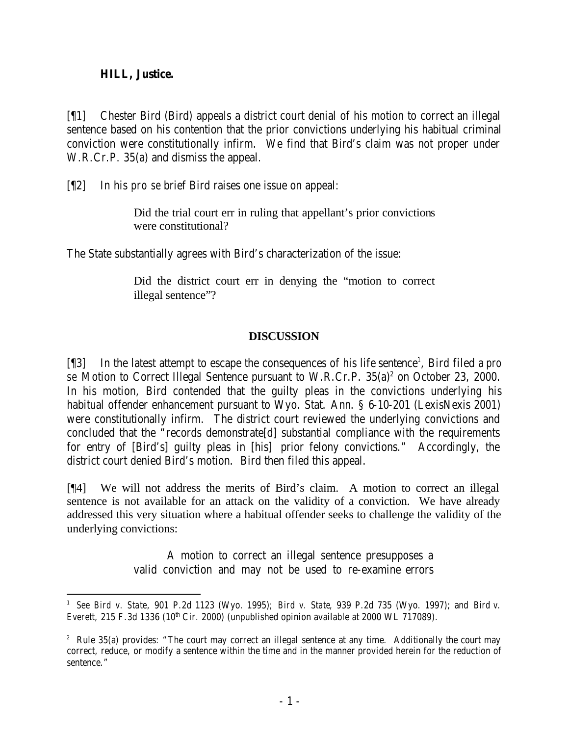### **HILL, Justice.**

[¶1] Chester Bird (Bird) appeals a district court denial of his motion to correct an illegal sentence based on his contention that the prior convictions underlying his habitual criminal conviction were constitutionally infirm. We find that Bird's claim was not proper under W.R.Cr.P. 35(a) and dismiss the appeal.

[¶2] In his *pro se* brief Bird raises one issue on appeal:

Did the trial court err in ruling that appellant's prior convictions were constitutional?

The State substantially agrees with Bird's characterization of the issue:

Did the district court err in denying the "motion to correct illegal sentence"?

## **DISCUSSION**

[¶3] In the latest attempt to escape the consequences of his life sentence<sup>1</sup>, Bird filed a *pro* se Motion to Correct Illegal Sentence pursuant to W.R.Cr.P. 35(a)<sup>2</sup> on October 23, 2000. In his motion, Bird contended that the guilty pleas in the convictions underlying his habitual offender enhancement pursuant to Wyo. Stat. Ann. § 6-10-201 (LexisNexis 2001) were constitutionally infirm. The district court reviewed the underlying convictions and concluded that the "records demonstrate[d] substantial compliance with the requirements for entry of [Bird's] guilty pleas in [his] prior felony convictions." Accordingly, the district court denied Bird's motion. Bird then filed this appeal.

[¶4] We will not address the merits of Bird's claim. A motion to correct an illegal sentence is not available for an attack on the validity of a conviction. We have already addressed this very situation where a habitual offender seeks to challenge the validity of the underlying convictions:

> A motion to correct an illegal sentence presupposes a valid conviction and may not be used to re-examine errors

 1 *See Bird v. State*, 901 P.2d 1123 (Wyo. 1995); *Bird v. State*, 939 P.2d 735 (Wyo. 1997); and *Bird v. Everett*, 215 F.3d 1336 (10<sup>th</sup> Cir. 2000) (unpublished opinion available at 2000 WL 717089).

<sup>&</sup>lt;sup>2</sup> Rule 35(a) provides: "The court may correct an illegal sentence at any time. Additionally the court may correct, reduce, or modify a sentence within the time and in the manner provided herein for the reduction of sentence."